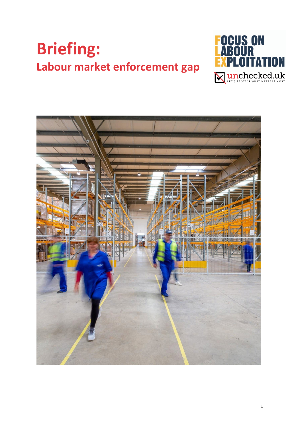# **Briefing: Labour market enforcement gap**



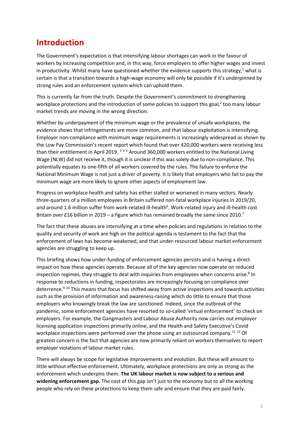# **Introduction**

The Government's expectation is that intensifying labour shortages can work in the favour of workers by increasing competition and, in this way, force employers to offer higher wages and invest in productivity. Whilst many have questioned whether the evidence supports this strategy, $1$  what is certain is that a transition towards a high-wage economy will only be possible if it's underpinned by strong rules and an enforcement system which can uphold them.

This is currently far from the truth. Despite the Government's commitment to strengthening workplace protections and the introduction of some policies to support this goal, $2$  too many labour market trends are moving in the wrong direction.

Whether by underpayment of the minimum wage or the prevalence of unsafe workplaces, the evidence shows that infringements are more common, and that labour exploitation is intensifying. Employer non-compliance with minimum wage requirements is increasingly widespread as shown by the Low Pay Commission's recent report which found that over 420,000 workers were receiving less than their entitlement in April 2019. <sup>345</sup> Around [3](#page-11-2)60,000 workers entitled to the National Living Wage (NLW) did not receive it, though it is unclear if this was solely due to non-compliance. This potentially equates to one-fifth of all workers covered by the rules. The failure to enforce the National Minimum Wage is not just a driver of poverty. It is likely that employers who fail to pay the minimum wage are more likely to ignore other aspects of employment law.

Progress on workplace health and safety has either stalled or worsened in many sectors. Nearly three-quarters of a million employees in Britain suffered non-fatal workplace injuries in 2019/20, and around 1.6 million suffer from work-related ill-health<sup>6</sup>. Work-related injury and ill-health cost Britain over £16 billion in 2019 – a figure which has remained broadly the same since 2010.<sup>7</sup>

The fact that these abuses are intensifying at a time when policies and regulations in relation to the quality and security of work are high on the political agenda is testament to the fact that the enforcement of laws has become weakened, and that under-resourced labour market enforcement agencies are struggling to keep up.

This briefing shows how under-funding of enforcement agencies persists and is having a direct impact on how these agencies operate. Because all of the key agencies now operate on reduced inspection regimes, they struggle to deal with inquiries from employees when concerns arise.<sup>8</sup> In response to reductions in funding, inspectorates are increasingly focusing on compliance over deterrence.<sup>9 [10](#page-11-9)</sup> This means that focus has shifted away from active inspections and towards activities such as the provision of information and awareness-raising which do little to ensure that those employers who knowingly break the law are sanctioned. Indeed, since the outbreak of the pandemic, some enforcement agencies have resorted to so-called 'virtual enforcement' to check on employers. For example, the Gangmasters and Labour Abuse Authority now carries out employer licensing application inspections primarily online, and the Health and Safety Executive's Covid workplace inspections were performed over the phone using an outsourced company.<sup>11 [12](#page-11-11)</sup> Of greatest concern is the fact that agencies are now primarily reliant on workers themselves to report employer violations of labour market rules.

There will always be scope for legislative improvements and evolution. But these will amount to little without effective enforcement**.** Ultimately, workplace protections are only as strong as the enforcement which underpins them. **The UK labour market is now subject to a serious and widening enforcement gap.** The cost of this gap isn't just to the economy but to all the working people who rely on these protections to keep them safe and ensure that they are paid fairly.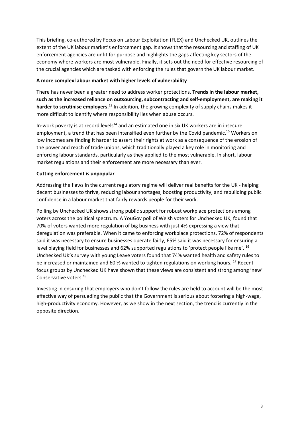This briefing, co-authored by Focus on Labour Exploitation (FLEX) and Unchecked UK, outlines the extent of the UK labour market's enforcement gap. It shows that the resourcing and staffing of UK enforcement agencies are unfit for purpose and highlights the gaps affecting key sectors of the economy where workers are most vulnerable. Finally, it sets out the need for effective resourcing of the crucial agencies which are tasked with enforcing the rules that govern the UK labour market.

#### **A more complex labour market with higher levels of vulnerability**

There has never been a greater need to address worker protections. **Trends in the labour market, such as the increased reliance on outsourcing, subcontracting and self-employment, are making it harder to scrutinise employers.**[13](#page-11-12) In addition, the growing complexity of supply chains makes it more difficult to identify where responsibility lies when abuse occurs.

In-work poverty is at record levels<sup>14</sup> and an estimated one in six UK workers are in insecure employment, a trend that has been intensified even further by the Covid pandemic.<sup>15</sup> Workers on low incomes are finding it harder to assert their rights at work as a consequence of the erosion of the power and reach of trade unions, which traditionally played a key role in monitoring and enforcing labour standards, particularly as they applied to the most vulnerable. In short, labour market regulations and their enforcement are more necessary than ever.

#### **Cutting enforcement is unpopular**

Addressing the flaws in the current regulatory regime will deliver real benefits for the UK - helping decent businesses to thrive, reducing labour shortages, boosting productivity, and rebuilding public confidence in a labour market that fairly rewards people for their work.

Polling by Unchecked UK shows strong public support for robust workplace protections among voters across the political spectrum. A YouGov poll of Welsh voters for Unchecked UK, found that 70% of voters wanted more regulation of big business with just 4% expressing a view that deregulation was preferable. When it came to enforcing workplace protections, 72% of respondents said it was necessary to ensure businesses operate fairly, 65% said it was necessary for ensuring a level playing field for businesses and 62% supported regulations to 'protect people like me'. [16](#page-11-15) Unchecked UK's survey with young Leave voters found that 74% wanted health and safety rules to be increased or maintained and 60 % wanted to tighten regulations on working hours.<sup>17</sup> Recent focus groups by Unchecked UK have shown that these views are consistent and strong among 'new' Conservative voters.<sup>18</sup>

Investing in ensuring that employers who don't follow the rules are held to account will be the most effective way of persuading the public that the Government is serious about fostering a high-wage, high-productivity economy. However, as we show in the next section, the trend is currently in the opposite direction.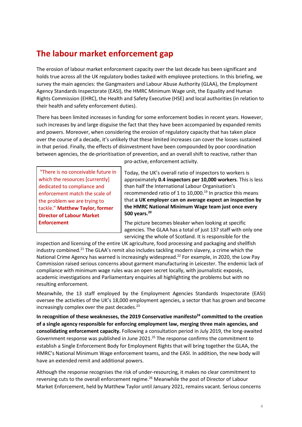# **The labour market enforcement gap**

The erosion of labour market enforcement capacity over the last decade has been significant and holds true across all the UK regulatory bodies tasked with employee protections. In this briefing, we survey the main agencies: the Gangmasters and Labour Abuse Authority (GLAA), the Employment Agency Standards Inspectorate (EASI), the HMRC Minimum Wage unit, the Equality and Human Rights Commission (EHRC), the Health and Safety Executive (HSE) and local authorities (in relation to their health and safety enforcement duties).

There has been limited increases in funding for some enforcement bodies in recent years. However, such increases by and large disguise the fact that they have been accompanied by expanded remits and powers. Moreover, when considering the erosion of regulatory capacity that has taken place over the course of a decade, it's unlikely that these limited increases can cover the losses sustained in that period. Finally, the effects of disinvestment have been compounded by poor coordination between agencies, the de-prioritisation of prevention, and an overall shift to reactive, rather than

"There is no conceivable future in which the resources [currently] dedicated to compliance and enforcement match the scale of the problem we are trying to tackle." **Matthew Taylor, former Director of Labour Market Enforcement**

pro-active, enforcement activity.

Today, the UK's overall ratio of inspectors to workers is approximately **0.4 inspectors per 10,000 workers**. This is less than half the International Labour Organisation's recommended ratio of 1 to 10,000.<sup>19</sup> In practice this means that **a UK employer can on average expect an inspection by the HMRC National Minimum Wage team just once every 500 years[.20](#page-11-19)**

The picture becomes bleaker when looking at specific agencies. The GLAA has a total of just 137 staff with only one servicing the whole of Scotland. It is responsible for the

inspection and licensing of the entire UK agriculture, food processing and packaging and shellfish industry combined.<sup>21</sup> The GLAA's remit also includes tackling modern slavery, a crime which the National Crime Agency has warned is increasingly widespread.<sup>22</sup> For example, in 2020, the Low Pay Commission raised serious concerns about garment manufacturing in Leicester. The endemic lack of compliance with minimum wage rules was an open secret locally, with journalistic exposés, academic investigations and Parliamentary enquiries all highlighting the problems but with no resulting enforcement.

Meanwhile, the 13 staff employed by the Employment Agencies Standards Inspectorate (EASI) oversee the activities of the UK's 18,000 employment agencies, a sector that has grown and become increasingly complex over the past decades. $^{23}$ 

In recognition of these weaknesses, the 2019 Conservative manifesto<sup>24</sup> committed to the creation **of a single agency responsible for enforcing employment law, merging three main agencies, and consolidating enforcement capacity.** Following a consultation period in July 2019, the long-awaited Government response was published in June 2021.<sup>25</sup> The response confirms the commitment to establish a Single Enforcement Body for Employment Rights that will bring together the GLAA, the HMRC's National Minimum Wage enforcement teams, and the EASI. In addition, the new body will have an extended remit and additional powers.

Although the response recognises the risk of under-resourcing, it makes no clear commitment to reversing cuts to the overall enforcement regime.<sup>26</sup> Meanwhile the post of Director of Labour Market Enforcement, held by Matthew Taylor until January 2021, remains vacant. Serious concerns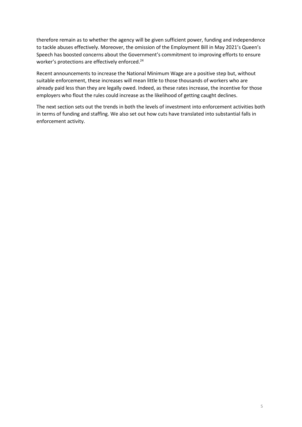therefore remain as to whether the agency will be given sufficient power, funding and independence to tackle abuses effectively. Moreover, the omission of the Employment Bill in May 2021's Queen's Speech has boosted concerns about the Government's commitment to improving efforts to ensure worker's protections are effectively enforced.<sup>24</sup>

Recent announcements to increase the National Minimum Wage are a positive step but, without suitable enforcement, these increases will mean little to those thousands of workers who are already paid less than they are legally owed. Indeed, as these rates increase, the incentive for those employers who flout the rules could increase as the likelihood of getting caught declines.

The next section sets out the trends in both the levels of investment into enforcement activities both in terms of funding and staffing. We also set out how cuts have translated into substantial falls in enforcement activity.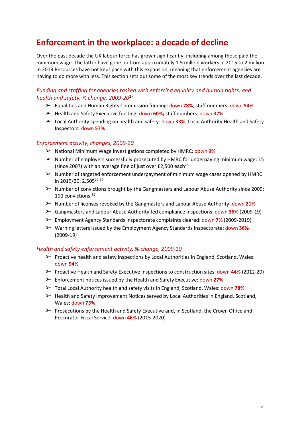# **Enforcement in the workplace: a decade of decline**

Over the past decade the UK labour force has grown significantly, including among those paid the minimum wage. The latter have gone up from approximately 1.5 million workers in 2015 to 2 million in 2019 Resources have not kept pace with this expansion, meaning that enforcement agencies are having to do more with less. This section sets out some of the most key trends over the last decade.

#### *Funding and staffing for agencies tasked with enforcing equality and human rights, and health and safety, % change, 2009-20*[27](#page-11-26)

- ➢ Equalities and Human Rights Commission funding: down **78%**; staff numbers: down **54%**
- ➢ Health and Safety Executive funding: down **60%;** staff numbers: down **37%**
- ➢ Local Authority spending on health and safety: down **33%**; Local Authority Health and Safety Inspectors: down **57%**

#### *Enforcement activity, changes, 2009-20*

- ➢ National Minimum Wage investigations completed by HMRC: down **9%**
- $\triangleright$  Number of employers successfully prosecuted by HMRC for underpaying minimum wage: 15 (since 2007) with an average fine of just over £2,500 each<sup>28</sup>
- $\triangleright$  Number of targeted enforcement underpayment of minimum wage cases opened by HMRC in 2019/20: 2,505<sup>29 [30](#page-11-29)</sup>
- $\triangleright$  Number of convictions brought by the Gangmasters and Labour Abuse Authority since 2009: 100 convictions.<sup>31</sup>
- ➢ Number of licenses revoked by the Gangmasters and Labour Abuse Authority: down **21%**
- ➢ Gangmasters and Labour Abuse Authority-led compliance inspections: down **36%** (2009-19)
- ➢ Employment Agency Standards Inspectorate complaints cleared: down **7%** (2009-2019)
- ➢ Warning letters issued by the Employment Agency Standards Inspectorate: down **36%** (2009-19)

#### *Health and safety enforcement activity, % change, 2009-20*

- $\triangleright$  Proactive health and safety inspections by Local Authorities in England, Scotland, Wales: down **94%**
- ➢ Proactive Health and Safety Executive inspections to construction sites: down **44%** (2012-20)
- ➢ Enforcement notices issued by the Health and Safety Executive: down **27%**
- ➢ Total Local Authority health and safety visits in England, Scotland, Wales: down **78%**
- $\triangleright$  Health and Safety Improvement Notices served by Local Authorities in England, Scotland, Wales: down **75%**
- $\triangleright$  Prosecutions by the Health and Safety Executive and, in Scotland, the Crown Office and Procurator Fiscal Service: down **46%** (2015-2020)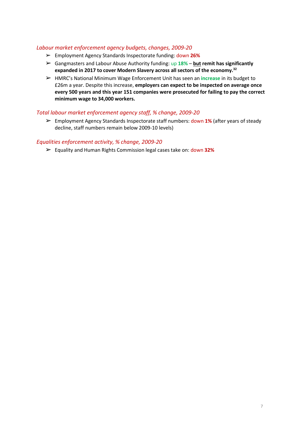#### *Labour market enforcement agency budgets, changes, 2009-20*

- ➢ Employment Agency Standards Inspectorate funding: down **26%**
- ➢ Gangmasters and Labour Abuse Authority funding: up **18% but remit has significantly expanded in 2017 to cover Modern Slavery across all sectors of the economy[.32](#page-11-31)**
- ➢ HMRC's National Minimum Wage Enforcement Unit has seen an **increase** in its budget to £26m a year. Despite this increase, **employers can expect to be inspected on average once every 500 years and this year 151 companies were prosecuted for failing to pay the correct minimum wage to 34,000 workers.**

#### *Total labour market enforcement agency staff, % change, 2009-20*

➢ Employment Agency Standards Inspectorate staff numbers: down **1%** (after years of steady decline, staff numbers remain below 2009-10 levels)

#### *Equalities enforcement activity, % change, 2009-20*

➢ Equality and Human Rights Commission legal cases take on: down **32%**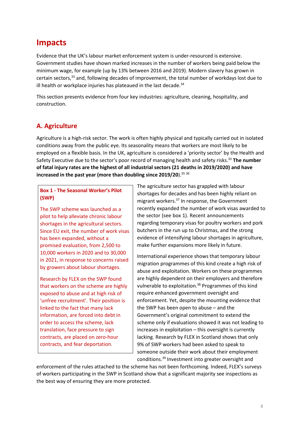## **Impacts**

Evidence that the UK's labour market enforcement system is under-resourced is extensive. Government studies have shown marked increases in the number of workers being paid below the minimum wage, for example (up by 13% between 2016 and 2019). Modern slavery has grown in certain sectors[,33](#page-11-32) and, following decades of improvement, the total number of workdays lost due to ill health or workplace injuries has plateaued in the last decade. $34$ 

This section presents evidence from four key industries: agriculture, cleaning, hospitality, and construction.

## **A. Agriculture**

Agriculture is a high-risk sector. The work is often highly physical and typically carried out in isolated conditions away from the public eye. Its seasonality means that workers are most likely to be employed on a flexible basis. In the UK, agriculture is considered a 'priority sector' by the Health and Safety Executive due to the sector's poor record of managing health and safety risks.33 **The number of fatal injury rates are the highest of all industrial sectors (21 deaths in 2019/2020) and have increased in the past year (more than doubling since 2019/20**)[.35](#page-11-34) [36](#page-11-35)

**Box 1 - The Seasonal Worker's Pilot (SWP)**

The SWP scheme was launched as a pilot to help alleviate chronic labour shortages in the agricultural sectors. Since EU exit, the number of work visas has been expanded, without a promised evaluation, from 2,500 to 10,000 workers in 2020 and to 30,000 in 2021, in response to concerns raised by growers about labour shortages.

Research by FLEX on the SWP found that workers on the scheme are highly exposed to abuse and at high risk of 'unfree recruitment'. Their position is linked to the fact that many lack information, are forced into debt in order to access the scheme, lack translation, face pressure to sign contracts, are placed on zero-hour contracts, and fear deportation.

The agriculture sector has grappled with labour shortages for decades and has been highly reliant on migrant workers[.37](#page-11-36) In response, the Government recently expanded the number of work visas awarded to the sector (see box 1). Recent announcements regarding temporary visas for poultry workers and pork butchers in the run up to Christmas, and the strong evidence of intensifying labour shortages in agriculture, make further expansions more likely in future.

International experience shows that temporary labour migration programmes of this kind create a high risk of abuse and exploitation. Workers on these programmes are highly dependent on their employers and therefore vulnerable to exploitation.<sup>38</sup> Programmes of this kind require enhanced government oversight and enforcement. Yet, despite the mounting evidence that the SWP has been open to abuse – and the Government's original commitment to extend the scheme only if evaluations showed it was not leading to increases in exploitation – this oversight is currently lacking. Research by FLEX in Scotland shows that only 9% of SWP workers had been asked to speak to someone outside their work about their employment condition[s.39](#page-11-38) Investment into greater oversight and

enforcement of the rules attached to the scheme has not been forthcoming. Indeed, FLEX's surveys of workers participating in the SWP in Scotland show that a significant majority see inspections as the best way of ensuring they are more protected.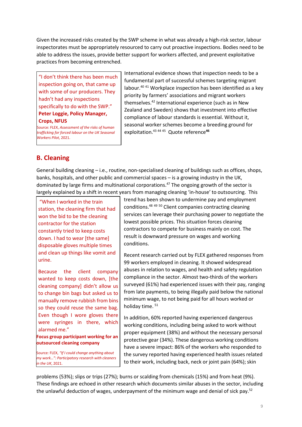Given the increased risks created by the SWP scheme in what was already a high-risk sector, labour inspectorates must be appropriately resourced to carry out proactive inspections. Bodies need to be able to address the issues, provide better support for workers affected, and prevent exploitative practices from becoming entrenched.

"I don't think there has been much inspection going on, that came up with some of our producers. They hadn't had any inspections specifically to do with the SWP." **Peter Loggie, Policy Manager, Crops, NFUS**

Source: FLEX, *Assessment of the risks of human trafficking for forced labour on the UK Seasonal Workers Pilot*, 2021.

International evidence shows that inspection needs to be a fundamental part of successful schemes targeting migrant labour[.40](#page-11-39) [41](#page-11-40) Workplace inspection has been identified as a key priority by farmers' associations and migrant workers themselve[s.42](#page-11-41) International experience (such as in New Zealand and Sweden) shows that investment into effective compliance of labour standards is essential. Without it, seasonal worker schemes become a breeding ground for exploitation[.43](#page-11-42) [44](#page-11-43) [45](#page-12-0) Quote reference**[46](#page-12-1)**

## **B. Cleaning**

General building cleaning – i.e., routine, non-specialised cleaning of buildings such as offices, shops, banks, hospitals, and other public and commercial spaces – is a growing industry in the UK, dominated by large firms and multinational corporations.<sup>47</sup> The ongoing growth of the sector is largely explained by a shift in recent years from managing cleaning 'in-house' to outsourcing. This

"When I worked in the train station, the cleaning firm that had won the bid to be the cleaning contractor for the station constantly tried to keep costs down. I had to wear [the same] disposable gloves multiple times and clean up things like vomit and urine.

Because the client company wanted to keep costs down, [the cleaning company] didn't allow us to change bin bags but asked us to manually remove rubbish from bins so they could reuse the same bag. Even though I wore gloves there were syringes in there, which alarmed me."

**Focus group participant working for an outsourced cleaning company**

Source: FLEX, *"If I could change anything about my work…": Participatory research with cleaners in the UK*, 2021.

trend has been shown to undermine pay and employment condition[s.48](#page-12-3) [49](#page-12-4) [50](#page-12-5) Client companies contracting cleaning services can leverage their purchasing power to negotiate the lowest possible prices. This situation forces cleaning contractors to compete for business mainly on cost. The result is downward pressure on wages and working conditions.

Recent research carried out by FLEX gathered responses from 99 workers employed in cleaning. It showed widespread abuses in relation to wages, and health and safety regulation compliance in the sector. Almost two-thirds of the workers surveyed (61%) had experienced issues with their pay, ranging from late payments, to being illegally paid below the national minimum wage, to not being paid for all hours worked or holiday time.<sup>[51](#page-12-6)</sup>

In addition, 60% reported having experienced dangerous working conditions, including being asked to work without proper equipment (38%) and without the necessary personal protective gear (34%). These dangerous working conditions have a severe impact: 86% of the workers who responded to the survey reported having experienced health issues related to their work, including back, neck or joint pain (64%); skin

problems (53%); slips or trips (27%); burns or scalding from chemicals (15%) and from heat (9%). These findings are echoed in other research which documents similar abuses in the sector, including the unlawful deduction of wages, underpayment of the minimum wage and denial of sick pay.<sup>52</sup>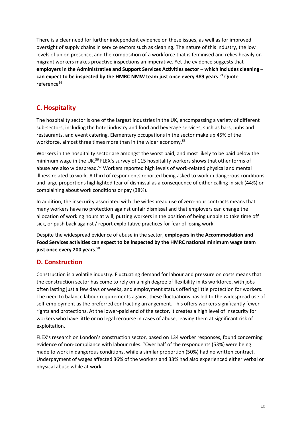There is a clear need for further independent evidence on these issues, as well as for improved oversight of supply chains in service sectors such as cleaning. The nature of this industry, the low levels of union presence, and the composition of a workforce that is feminised and relies heavily on migrant workers makes proactive inspections an imperative. Yet the evidence suggests that **employers in the Administrative and Support Services Activities sector – which includes cleaning – can expect to be inspected by the HMRC NMW team just once every 389 years**. [53](#page-12-8) Quote reference<sup>54</sup>

## **C. Hospitality**

The hospitality sector is one of the largest industries in the UK, encompassing a variety of different sub-sectors, including the hotel industry and food and beverage services, such as bars, pubs and restaurants, and event catering. Elementary occupations in the sector make up 45% of the workforce, almost three times more than in the wider economy.<sup>55</sup>

Workers in the hospitality sector are amongst the worst paid, and most likely to be paid below the minimum wage in the U[K.56](#page-12-11) FLEX's survey of 115 hospitality workers shows that other forms of abuse are also widespread.<sup>57</sup> Workers reported high levels of work-related physical and mental illness related to work. A third of respondents reported being asked to work in dangerous conditions and large proportions highlighted fear of dismissal as a consequence of either calling in sick (44%) or complaining about work conditions or pay (38%).

In addition, the insecurity associated with the widespread use of zero-hour contracts means that many workers have no protection against unfair dismissal and that employers can change the allocation of working hours at will, putting workers in the position of being unable to take time off sick, or push back against / report exploitative practices for fear of losing work.

Despite the widespread evidence of abuse in the sector, **employers in the Accommodation and Food Services activities can expect to be inspected by the HMRC national minimum wage team just once every 200 years**. [58](#page-12-13)

## **D. Construction**

Construction is a volatile industry. Fluctuating demand for labour and pressure on costs means that the construction sector has come to rely on a high degree of flexibility in its workforce, with jobs often lasting just a few days or weeks, and employment status offering little protection for workers. The need to balance labour requirements against these fluctuations has led to the widespread use of self-employment as the preferred contracting arrangement. This offers workers significantly fewer rights and protections. At the lower-paid end of the sector, it creates a high level of insecurity for workers who have little or no legal recourse in cases of abuse, leaving them at significant risk of exploitation.

FLEX's research on London's construction sector, based on 134 worker responses, found concerning evidence of non-compliance with labour rules.<sup>59</sup>Over half of the respondents (53%) were being made to work in dangerous conditions, while a similar proportion (50%) had no written contract. Underpayment of wages affected 36% of the workers and 33% had also experienced either verbal or physical abuse while at work.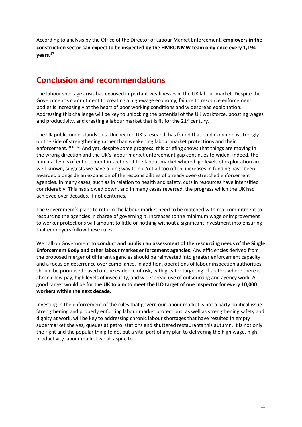According to analysis by the Office of the Director of Labour Market Enforcement, **employers in the construction sector can expect to be inspected by the HMRC NMW team only once every 1,194 years.**<sup>57</sup>

# **Conclusion and recommendations**

The labour shortage crisis has exposed important weaknesses in the UK labour market. Despite the Government's commitment to creating a high-wage economy, failure to resource enforcement bodies is increasingly at the heart of poor working conditions and widespread exploitation. Addressing this challenge will be key to unlocking the potential of the UK workforce, boosting wages and productivity, and creating a labour market that is fit for the 21<sup>st</sup> century.

The UK public understands this. Unchecked UK's research has found that public opinion is strongly on the side of strengthening rather than weakening labour market protections and their enforcement.<sup>60 [61](#page-12-16)</sup> <sup>[62](#page-12-17)</sup> And yet, despite some progress, this briefing shows that things are moving in the wrong direction and the UK's labour market enforcement gap continues to widen. Indeed, the minimal levels of enforcement in sectors of the labour market where high levels of exploitation are well-known, suggests we have a long way to go. Yet all too often, increases in funding have been awarded alongside an expansion of the responsibilities of already over-stretched enforcement agencies. In many cases, such as in relation to health and safety, cuts in resources have intensified considerably. This has slowed down, and in many cases reversed, the progress which the UK had achieved over decades, if not centuries.

The Government's plans to reform the labour market need to be matched with real commitment to resourcing the agencies in charge of governing it. Increases to the minimum wage or improvement to worker protections will amount to little or nothing without a significant investment into ensuring that employers follow these rules.

We call on Government to **conduct and publish an assessment of the resourcing needs of the Single Enforcement Body and other labour market enforcement agencies**. Any efficiencies derived from the proposed merger of different agencies should be reinvested into greater enforcement capacity and a focus on deterrence over compliance. In addition, operations of labour inspection authorities should be prioritised based on the evidence of risk, with greater targeting of sectors where there is chronic low pay, high levels of insecurity, and widespread use of outsourcing and agency work. A good target would be for **the UK to aim to meet the ILO target of one inspector for every 10,000 workers within the next decade**.

Investing in the enforcement of the rules that govern our labour market is not a party political issue. Strengthening and properly enforcing labour market protections, as well as strengthening safety and dignity at work, will be key to addressing chronic labour shortages that have resulted in empty supermarket shelves, queues at petrol stations and shuttered restaurants this autumn. It is not only the right and the popular thing to do, but a vital part of any plan to delivering the high wage, high productivity labour market we all aspire to.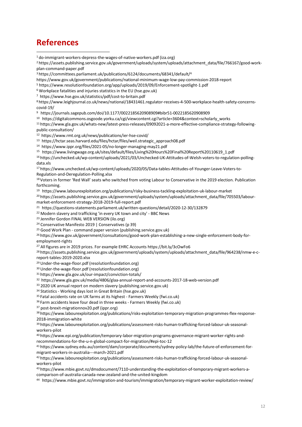## **References**

<span id="page-11-0"></span>[do-immigrant-workers-depress-the-wages-of-native-workers.pdf](https://wol.iza.org/uploads/articles/42/pdfs/do-immigrant-workers-depress-the-wages-of-native-workers.pdf) (iza.org)

<span id="page-11-1"></span> [https://assets.publishing.service.gov.uk/government/uploads/system/uploads/attachment\\_data/file/766167/good-work](https://assets.publishing.service.gov.uk/government/uploads/system/uploads/attachment_data/file/766167/good-work-plan-command-paper.pdf)[plan-command-paper.pdf](https://assets.publishing.service.gov.uk/government/uploads/system/uploads/attachment_data/file/766167/good-work-plan-command-paper.pdf)

<span id="page-11-2"></span>[3 https://committees.parliament.uk/publications/6124/documents/68341/default/4](https://committees.parliament.uk/publications/6124/documents/68341/default/)

<span id="page-11-3"></span><https://www.gov.uk/government/publications/national-minimum-wage-low-pay-commission-2018-report>

<span id="page-11-4"></span><https://www.resolutionfoundation.org/app/uploads/2019/09/Enforcement-spotlight-1.pdf>

<span id="page-11-5"></span>Workplace fatalities and injuries statistics in the EU [\(hse.gov.uk\)](https://www.hse.gov.uk/statistics/european/)

<span id="page-11-6"></span><https://www.hse.gov.uk/statistics/pdf/cost-to-britain.pdf>

<span id="page-11-7"></span> [https://www.leighjournal.co.uk/news/national/18431461.regulator-receives-4-500-workplace-health-safety-concerns](https://www.leighjournal.co.uk/news/national/18431461.regulator-receives-4-500-workplace-health-safety-concerns-covid-19/)[covid-19/](https://www.leighjournal.co.uk/news/national/18431461.regulator-receives-4-500-workplace-health-safety-concerns-covid-19/)

<span id="page-11-8"></span>[https://journals.sagepub.com/doi/10.1177/0022185620908909#bibr51-0022185620908909](https://journals.sagepub.com/doi/10.1177/0022185620908909%23bibr51-0022185620908909)

<span id="page-11-9"></span>[https://digitalcommons.osgoode.yorku.ca/cgi/viewcontent.cgi?article=3604&context=scholarly\\_works](https://digitalcommons.osgoode.yorku.ca/cgi/viewcontent.cgi?article=3604&context=scholarly_works)

<span id="page-11-10"></span> [https://www.gla.gov.uk/whats-new/latest-press-releases/09092021-a-more-effective-compliance-strategy-following](https://www.gla.gov.uk/whats-new/latest-press-releases/09092021-a-more-effective-compliance-strategy-following-public-consultation/)[public-consultation/](https://www.gla.gov.uk/whats-new/latest-press-releases/09092021-a-more-effective-compliance-strategy-following-public-consultation/)

<span id="page-11-11"></span><https://www.rmt.org.uk/news/publications/ier-hse-covid/>

<span id="page-11-12"></span>[https://hctar.seas.harvard.edu/files/hctar/files/weil.strategic\\_approach08.pdf](https://hctar.seas.harvard.edu/files/hctar/files/weil.strategic_approach08.pdf)

<span id="page-11-13"></span><https://www.ippr.org/files/2021-05/no-longer-managing-may21.pdf>

<span id="page-11-14"></span>[https://www.livingwage.org.uk/sites/default/files/Living%20Hours%20Final%20Report%20110619\\_1.pdf](https://www.livingwage.org.uk/sites/default/files/Living%252520Hours%252520Final%252520Report%252520110619_1.pdf)

<span id="page-11-15"></span> [https://unchecked.uk/wp-content/uploads/2021/03/Unchecked-UK-Attitudes-of-Welsh-voters-to-regulation-polling](https://unchecked.uk/wp-content/uploads/2021/03/Unchecked-UK-Attitudes-of-Welsh-voters-to-regulation-polling-data.xls)[data.xls](https://unchecked.uk/wp-content/uploads/2021/03/Unchecked-UK-Attitudes-of-Welsh-voters-to-regulation-polling-data.xls)

<span id="page-11-16"></span> [https://www.unchecked.uk/wp-content/uploads/2020/05/Data-tables-Attitudes-of-Younger-Leave-Voters-to-](https://www.unchecked.uk/wp-content/uploads/2020/05/Data-tables-Attitudes-of-Younger-Leave-Voters-to-Regulation-and-Deregulation-Polling.xlsx)[Regulation-and-Deregulation-Polling.xlsx](https://www.unchecked.uk/wp-content/uploads/2020/05/Data-tables-Attitudes-of-Younger-Leave-Voters-to-Regulation-and-Deregulation-Polling.xlsx)

<span id="page-11-17"></span>18 Voters in former 'Red Wall' seats who switched from voting Labour to Conservative in the 2019 election. Publication forthcoming.

<span id="page-11-18"></span><https://www.labourexploitation.org/publications/risky-business-tackling-exploitation-uk-labour-market>

<span id="page-11-19"></span><sup>20</sup> [https://assets.publishing.service.gov.uk/government/uploads/system/uploads/attachment\\_data/file/705503/labour](https://assets.publishing.service.gov.uk/government/uploads/system/uploads/attachment_data/file/705503/labour-market-enforcement-strategy-2018-2019-full-report.pdf)[market-enforcement-strategy-2018-2019-full-report.pdf](https://assets.publishing.service.gov.uk/government/uploads/system/uploads/attachment_data/file/705503/labour-market-enforcement-strategy-2018-2019-full-report.pdf)

<span id="page-11-20"></span><https://questions-statements.parliament.uk/written-questions/detail/2020-12-30/132879>

<span id="page-11-21"></span>Modern slavery and [trafficking](https://www.bbc.co.uk/news/uk-40885353) 'in every UK town and city' - BBC News

<span id="page-11-22"></span>Jennifer Gordon FINAL WEB [VERSION](https://www.ilo.org/wcmsp5/groups/public/---dgreports/---dcomm/documents/publication/wcms_377805.pdf) (ilo.org)

<span id="page-11-23"></span>Conservative Manifesto 2019 | [Conservatives](https://www.conservatives.com/our-plan) (p 39)

<span id="page-11-24"></span>Good Work Plan - command paper version [\(publishing.service.gov.uk\)](https://assets.publishing.service.gov.uk/government/uploads/system/uploads/attachment_data/file/766167/good-work-plan-command-paper.pdf)

<span id="page-11-25"></span> [https://www.gov.uk/government/consultations/good-work-plan-establishing-a-new-single-enforcement-body-for](https://www.gov.uk/government/consultations/good-work-plan-establishing-a-new-single-enforcement-body-for-employment-rights)[employment-rights](https://www.gov.uk/government/consultations/good-work-plan-establishing-a-new-single-enforcement-body-for-employment-rights)

<span id="page-11-26"></span>All figures are in 2019 prices. For example EHRC Accounts https://bit.ly/3cOwFo6

<span id="page-11-27"></span><sup>28</sup> [https://assets.publishing.service.gov.uk/government/uploads/system/uploads/attachment\\_data/file/964238/nmw-e-c](https://assets.publishing.service.gov.uk/government/uploads/system/uploads/attachment_data/file/964238/nmw-e-c-report-tables-2019-2020.xlsx)[report-tables-2019-2020.xlsx](https://assets.publishing.service.gov.uk/government/uploads/system/uploads/attachment_data/file/964238/nmw-e-c-report-tables-2019-2020.xlsx)

<span id="page-11-28"></span>Under-the-wage-floor.pdf [\(resolutionfoundation.org\)](https://www.resolutionfoundation.org/app/uploads/2020/01/Under-the-wage-floor.pdf)

<span id="page-11-30"></span><span id="page-11-29"></span>Under-the-wage-floor.pdf [\(resolutionfoundation.org\)](https://www.resolutionfoundation.org/app/uploads/2020/01/Under-the-wage-floor.pdf)

<span id="page-11-31"></span><https://www.gla.gov.uk/our-impact/conviction-totals/>

<span id="page-11-32"></span><https://www.gla.gov.uk/media/4806/glaa-annual-report-and-accounts-2017-18-web-version.pdf>

2020 UK annual report on modern slavery [\(publishing.service.gov.uk\)](https://assets.publishing.service.gov.uk/government/uploads/system/uploads/attachment_data/file/927111/FINAL-_2020_Modern_Slavery_Report_14-10-20.pdf)

<span id="page-11-34"></span><span id="page-11-33"></span>Statistics - Working days lost in Great Britain [\(hse.gov.uk\)](https://www.hse.gov.uk/statistics/dayslost.htm)

[5 Fatal accidents rate on UK farms at its highest -](https://www.fwi.co.uk/business/business-management/health-and-safety/fatal-accidents-rate-on-uk-farms-at-its-highest) Farmers Weekly (fwi.co.uk)

<span id="page-11-35"></span>[6 Farm accidents leave four dead in three weeks -](https://www.fwi.co.uk/business/business-management/health-and-safety/farm-accidents-leave-four-dead-in-three-weeks) Farmers Weekly (fwi.co.uk)

<span id="page-11-37"></span><span id="page-11-36"></span>[post-brexit-migrationnov20.pdf \(ippr.org\)](https://www.ippr.org/files/2020-11/post-brexit-migrationnov20.pdf)

 [https://www.labourexploitation.org/publications/risks-exploitation-temporary-migration-programmes-flex-response-](https://www.labourexploitation.org/publications/risks-exploitation-temporary-migration-programmes-flex-response-2018-immigration-white)[2018-immigration-white](https://www.labourexploitation.org/publications/risks-exploitation-temporary-migration-programmes-flex-response-2018-immigration-white)

<span id="page-11-38"></span> [https://www.labourexploitation.org/publications/assessment-risks-human-trafficking-forced-labour-uk-seasonal](https://www.labourexploitation.org/publications/assessment-risks-human-trafficking-forced-labour-uk-seasonal-workers-pilot)[workers-pilot](https://www.labourexploitation.org/publications/assessment-risks-human-trafficking-forced-labour-uk-seasonal-workers-pilot)

<span id="page-11-39"></span> [https://www.epi.org/publication/temporary-labor-migration-programs-governance-migrant-worker-rights-and](https://www.epi.org/publication/temporary-labor-migration-programs-governance-migrant-worker-rights-and-recommendations-for-the-u-n-global-compact-for-migration/%23epi-toc-12)[recommendations-for-the-u-n-global-compact-for-migration/#epi-toc-12](https://www.epi.org/publication/temporary-labor-migration-programs-governance-migrant-worker-rights-and-recommendations-for-the-u-n-global-compact-for-migration/%23epi-toc-12)

<span id="page-11-40"></span> [https://www.sydney.edu.au/content/dam/corporate/documents/sydney-policy-lab/the-future-of-enforcement-for](https://www.sydney.edu.au/content/dam/corporate/documents/sydney-policy-lab/the-future-of-enforcement-for-migrant-workers-in-australia---march-2021.pdf)[migrant-workers-in-australia---march-2021.pdf](https://www.sydney.edu.au/content/dam/corporate/documents/sydney-policy-lab/the-future-of-enforcement-for-migrant-workers-in-australia---march-2021.pdf)

<span id="page-11-41"></span> [https://www.labourexploitation.org/publications/assessment-risks-human-trafficking-forced-labour-uk-seasonal](https://www.labourexploitation.org/publications/assessment-risks-human-trafficking-forced-labour-uk-seasonal-workers-pilot)[workers-pilot](https://www.labourexploitation.org/publications/assessment-risks-human-trafficking-forced-labour-uk-seasonal-workers-pilot)

<span id="page-11-42"></span> [https://www.mbie.govt.nz/dmsdocument/7110-understanding-the-exploitation-of-temporary-migrant-workers-a](https://www.mbie.govt.nz/dmsdocument/7110-understanding-the-exploitation-of-temporary-migrant-workers-a-comparison-of-australia-canada-new-zealand-and-the-united-kingdom)[comparison-of-australia-canada-new-zealand-and-the-united-kingdom](https://www.mbie.govt.nz/dmsdocument/7110-understanding-the-exploitation-of-temporary-migrant-workers-a-comparison-of-australia-canada-new-zealand-and-the-united-kingdom)

<span id="page-11-43"></span><https://www.mbie.govt.nz/immigration-and-tourism/immigration/temporary-migrant-worker-exploitation-review/>